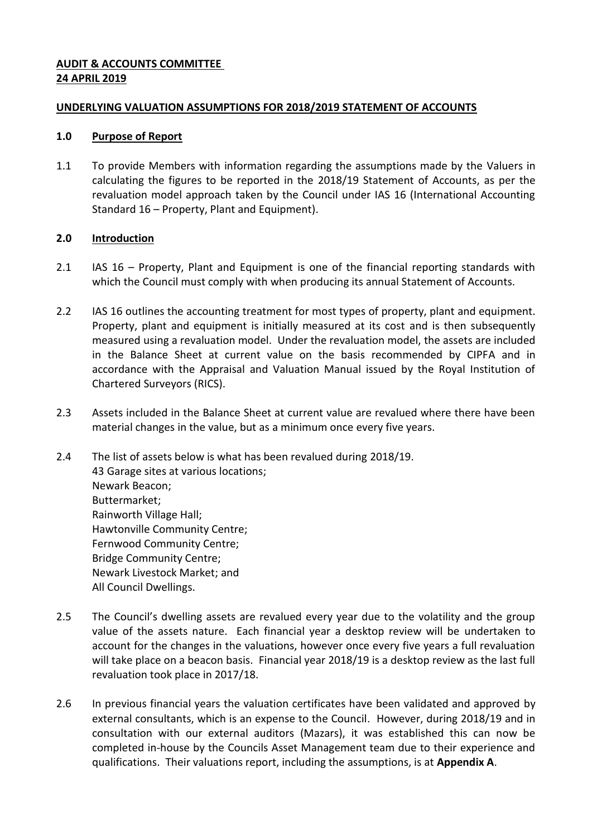## **AUDIT & ACCOUNTS COMMITTEE 24 APRIL 2019**

### **UNDERLYING VALUATION ASSUMPTIONS FOR 2018/2019 STATEMENT OF ACCOUNTS**

#### **1.0 Purpose of Report**

1.1 To provide Members with information regarding the assumptions made by the Valuers in calculating the figures to be reported in the 2018/19 Statement of Accounts, as per the revaluation model approach taken by the Council under IAS 16 (International Accounting Standard 16 – Property, Plant and Equipment).

## **2.0 Introduction**

- 2.1 IAS 16 Property, Plant and Equipment is one of the financial reporting standards with which the Council must comply with when producing its annual Statement of Accounts.
- 2.2 IAS 16 outlines the accounting treatment for most types of property, plant and equipment. Property, plant and equipment is initially measured at its cost and is then subsequently measured using a revaluation model. Under the revaluation model, the assets are included in the Balance Sheet at current value on the basis recommended by CIPFA and in accordance with the Appraisal and Valuation Manual issued by the Royal Institution of Chartered Surveyors (RICS).
- 2.3 Assets included in the Balance Sheet at current value are revalued where there have been material changes in the value, but as a minimum once every five years.
- 2.4 The list of assets below is what has been revalued during 2018/19. 43 Garage sites at various locations; Newark Beacon; Buttermarket; Rainworth Village Hall; Hawtonville Community Centre; Fernwood Community Centre; Bridge Community Centre; Newark Livestock Market; and All Council Dwellings.
- 2.5 The Council's dwelling assets are revalued every year due to the volatility and the group value of the assets nature. Each financial year a desktop review will be undertaken to account for the changes in the valuations, however once every five years a full revaluation will take place on a beacon basis. Financial year 2018/19 is a desktop review as the last full revaluation took place in 2017/18.
- 2.6 In previous financial years the valuation certificates have been validated and approved by external consultants, which is an expense to the Council. However, during 2018/19 and in consultation with our external auditors (Mazars), it was established this can now be completed in-house by the Councils Asset Management team due to their experience and qualifications. Their valuations report, including the assumptions, is at **Appendix A**.